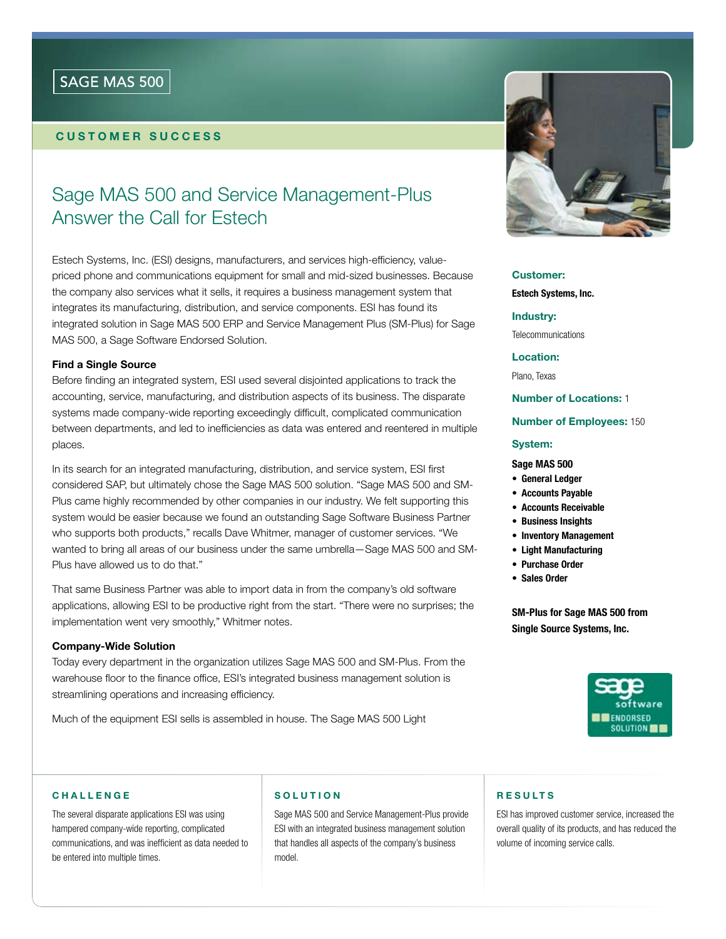## SAGE MAS 500

## customer success

# Sage MAS 500 and Service Management-Plus Answer the Call for Estech

Estech Systems, Inc. (ESI) designs, manufacturers, and services high-efficiency, valuepriced phone and communications equipment for small and mid-sized businesses. Because the company also services what it sells, it requires a business management system that integrates its manufacturing, distribution, and service components. ESI has found its integrated solution in Sage MAS 500 ERP and Service Management Plus (SM-Plus) for Sage MAS 500, a Sage Software Endorsed Solution.

## Find a Single Source

Before finding an integrated system, ESI used several disjointed applications to track the accounting, service, manufacturing, and distribution aspects of its business. The disparate systems made company-wide reporting exceedingly difficult, complicated communication between departments, and led to inefficiencies as data was entered and reentered in multiple places.

In its search for an integrated manufacturing, distribution, and service system, ESI first considered SAP, but ultimately chose the Sage MAS 500 solution. "Sage MAS 500 and SM-Plus came highly recommended by other companies in our industry. We felt supporting this system would be easier because we found an outstanding Sage Software Business Partner who supports both products," recalls Dave Whitmer, manager of customer services. "We wanted to bring all areas of our business under the same umbrella—Sage MAS 500 and SM-Plus have allowed us to do that."

That same Business Partner was able to import data in from the company's old software applications, allowing ESI to be productive right from the start. "There were no surprises; the implementation went very smoothly," Whitmer notes.

#### Company-Wide Solution

Today every department in the organization utilizes Sage MAS 500 and SM-Plus. From the warehouse floor to the finance office, ESI's integrated business management solution is streamlining operations and increasing efficiency.

Much of the equipment ESI sells is assembled in house. The Sage MAS 500 Light



## Customer:

Estech Systems, Inc.

Industry:

**Telecommunications** 

Location:

Plano, Texas

## Number of Locations: 1

#### Number of Employees: 150

#### System:

#### Sage MAS 500

- • General Ledger
- • Accounts Payable
- • Accounts Receivable
- • Business Insights
- Inventory Management
- • Light Manufacturing
- • Purchase Order
- • Sales Order

SM-Plus for Sage MAS 500 from Single Source Systems, Inc.



#### **CHALLENGE**

The several disparate applications ESI was using hampered company-wide reporting, complicated communications, and was inefficient as data needed to be entered into multiple times.

#### **SOLUTION**

Sage MAS 500 and Service Management-Plus provide ESI with an integrated business management solution that handles all aspects of the company's business model.

#### **RESULTS**

ESI has improved customer service, increased the overall quality of its products, and has reduced the volume of incoming service calls.